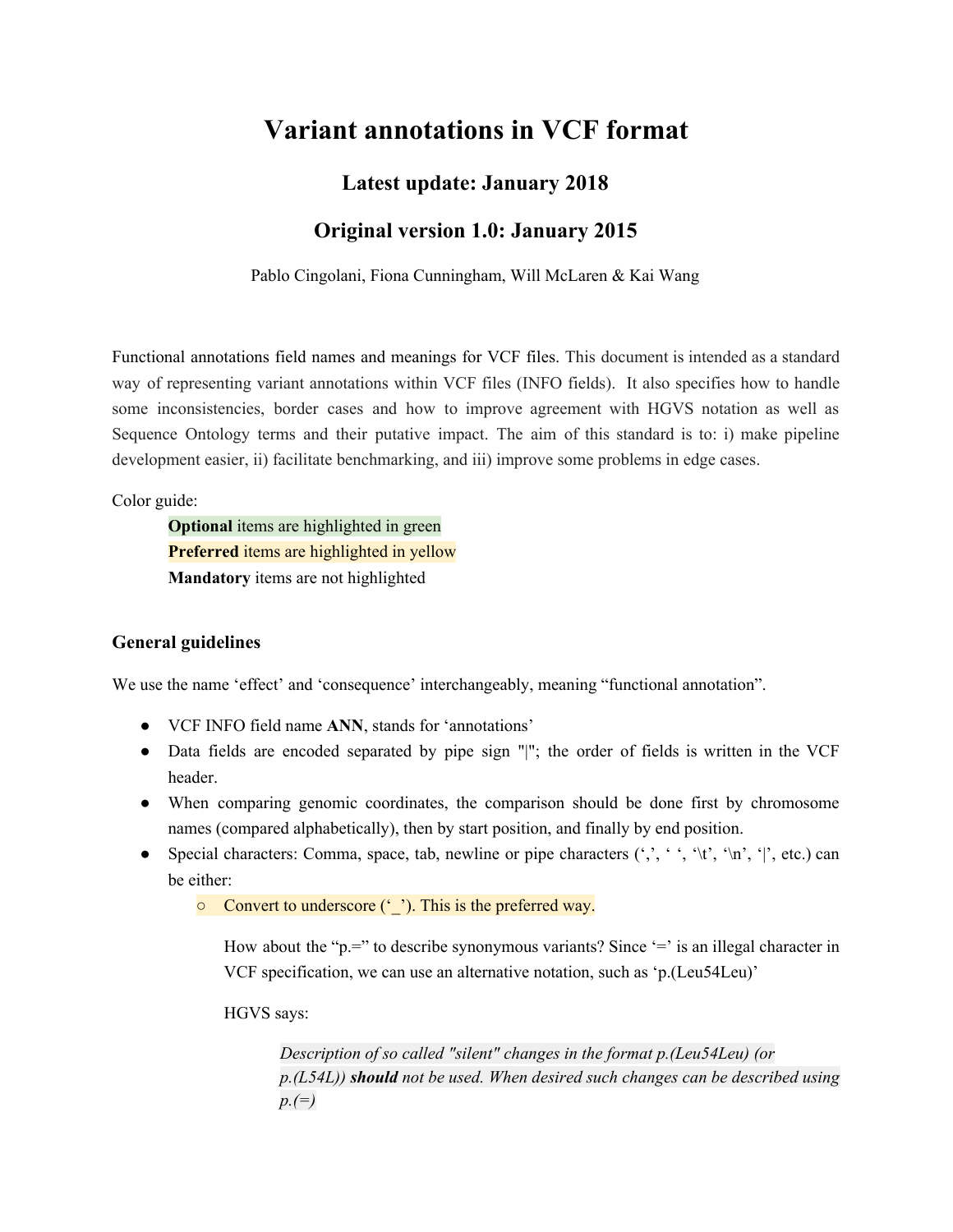# **Variant annotations in VCF format**

## **Latest update: January 2018**

## **Original version 1.0: January 2015**

Pablo Cingolani, Fiona Cunningham, Will McLaren & Kai Wang

Functional annotations field names and meanings for VCF files. This document is intended as a standard way of representing variant annotations within VCF files (INFO fields). It also specifies how to handle some inconsistencies, border cases and how to improve agreement with HGVS notation as well as Sequence Ontology terms and their putative impact. The aim of this standard is to: i) make pipeline development easier, ii) facilitate benchmarking, and iii) improve some problems in edge cases.

Color guide:

**Optional** items are highlighted in green **Preferred** items are highlighted in yellow **Mandatory** items are not highlighted

#### **General guidelines**

We use the name 'effect' and 'consequence' interchangeably, meaning "functional annotation".

- VCF INFO field name **ANN**, stands for 'annotations'
- Data fields are encoded separated by pipe sign "|"; the order of fields is written in the VCF header.
- When comparing genomic coordinates, the comparison should be done first by chromosome names (compared alphabetically), then by start position, and finally by end position.
- Special characters: Comma, space, tab, newline or pipe characters  $(',',',',',',',',',',',',$ etc.) can be either:

○ Convert to underscore ('\_'). This is the preferred way.

How about the " $p =$ " to describe synonymous variants? Since '=' is an illegal character in VCF specification, we can use an alternative notation, such as 'p.(Leu54Leu)'

HGVS says:

*Description of so called "silent" changes in the format p.(Leu54Leu) (or p.(L54L)) should not be used. When desired such changes can be described using p.(=)*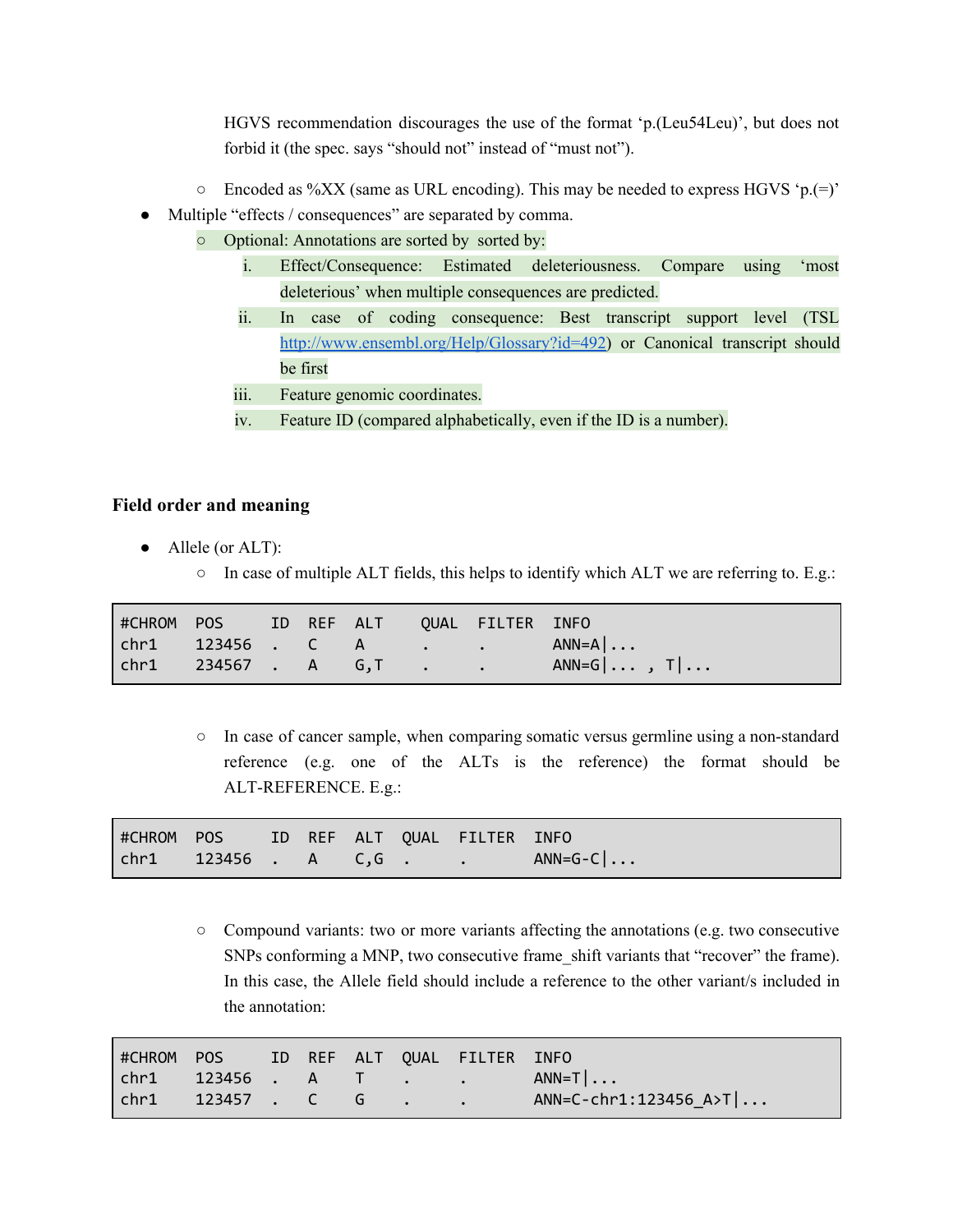HGVS recommendation discourages the use of the format 'p.(Leu54Leu)', but does not forbid it (the spec. says "should not" instead of "must not").

- $\circ$  Encoded as %XX (same as URL encoding). This may be needed to express HGVS 'p.(=)'
- Multiple "effects / consequences" are separated by comma.
	- Optional: Annotations are sorted by sorted by:
		- i. Effect/Consequence: Estimated deleteriousness. Compare using 'most deleterious' when multiple consequences are predicted.
		- ii. In case of coding consequence: Best transcript support level (TSL <http://www.ensembl.org/Help/Glossary?id=492>) or Canonical transcript should be first
		- iii. Feature genomic coordinates.
		- iv. Feature ID (compared alphabetically, even if the ID is a number).

#### **Field order and meaning**

- Allele (or ALT):
	- In case of multiple ALT fields, this helps to identify which ALT we are referring to. E.g.:

| #CHROM POS ID REF ALT QUAL FILTER INFO |  |  |                                                                                                          |
|----------------------------------------|--|--|----------------------------------------------------------------------------------------------------------|
|                                        |  |  | $\begin{bmatrix} \text{chr1} & 123456 & \text{C} & A & \text{C} & \text{A} & \text{ANN=A} \end{bmatrix}$ |
|                                        |  |  |                                                                                                          |

○ In case of cancer sample, when comparing somatic versus germline using a non-standard reference (e.g. one of the ALTs is the reference) the format should be ALT-REFERENCE. E.g.:

| #CHROM POS ID REF ALT QUAL FILTER INFO                                                        |  |  |           |
|-----------------------------------------------------------------------------------------------|--|--|-----------|
| $\begin{array}{ccccccccccccccccc}\n\text{chr1} & & 123456 & . & A & C,G & . & .\n\end{array}$ |  |  | $AND=G-C$ |

○ Compound variants: two or more variants affecting the annotations (e.g. two consecutive SNPs conforming a MNP, two consecutive frame shift variants that "recover" the frame). In this case, the Allele field should include a reference to the other variant/s included in the annotation:

| FECHROM POS ID REF ALT QUAL FILTER INFO |  |  |                                                                                                                     |
|-----------------------------------------|--|--|---------------------------------------------------------------------------------------------------------------------|
|                                         |  |  | $\begin{bmatrix} \text{chr1} & 123456 & A & T & . & . & \end{bmatrix}$ ANN=T $\begin{bmatrix} \ldots \end{bmatrix}$ |
|                                         |  |  | $AND=C-chr1:123456$ $A>T$                                                                                           |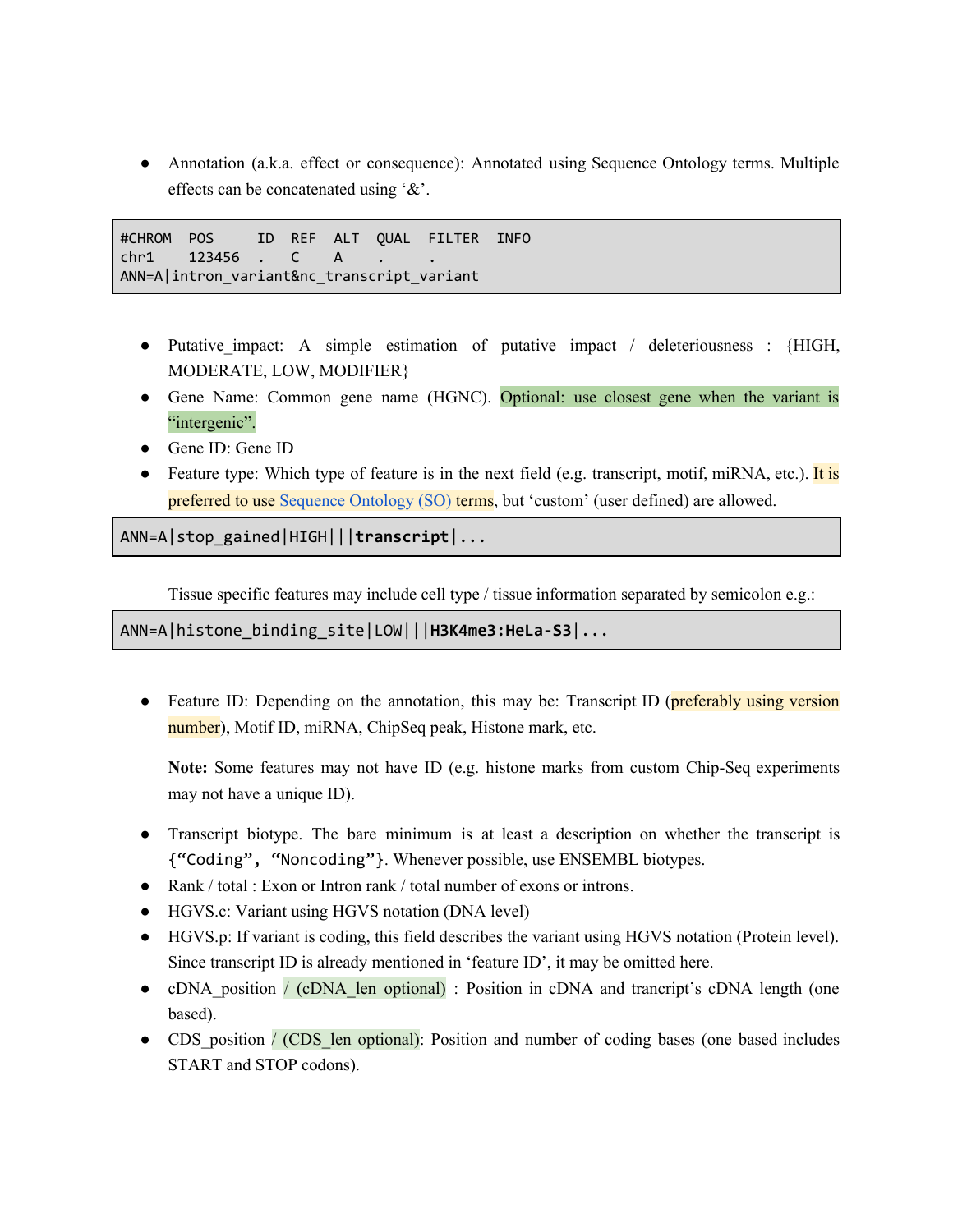• Annotation (a.k.a. effect or consequence): Annotated using Sequence Ontology terms. Multiple effects can be concatenated using '&'.

#CHROM POS ID REF ALT QUAL FILTER INFO chr1 123456 . C A ANN=A|intron\_variant&nc\_transcript\_variant

- Putative impact: A simple estimation of putative impact / deleteriousness : {HIGH, MODERATE, LOW, MODIFIER}
- Gene Name: Common gene name (HGNC). Optional: use closest gene when the variant is "intergenic".
- Gene ID: Gene ID
- Feature type: Which type of feature is in the next field (e.g. transcript, motif, miRNA, etc.). It is preferred to use [Sequence](http://www.sequenceontology.org/) Ontology (SO) terms, but 'custom' (user defined) are allowed.

ANN=A|stop\_gained|HIGH|||**transcript**|...

Tissue specific features may include cell type / tissue information separated by semicolon e.g.:

ANN=A|histone\_binding\_site|LOW|||**H3K4me3:HeLa-S3**|...

• Feature ID: Depending on the annotation, this may be: Transcript ID (preferably using version number), Motif ID, miRNA, ChipSeq peak, Histone mark, etc.

**Note:** Some features may not have ID (e.g. histone marks from custom Chip-Seq experiments may not have a unique ID).

- Transcript biotype. The bare minimum is at least a description on whether the transcript is {"Coding", "Noncoding"}. Whenever possible, use ENSEMBL biotypes.
- Rank / total : Exon or Intron rank / total number of exons or introns.
- HGVS.c: Variant using HGVS notation (DNA level)
- HGVS.p: If variant is coding, this field describes the variant using HGVS notation (Protein level). Since transcript ID is already mentioned in 'feature ID', it may be omitted here.
- cDNA position / (cDNA len optional) : Position in cDNA and trancript's cDNA length (one based).
- CDS position / (CDS len optional): Position and number of coding bases (one based includes START and STOP codons).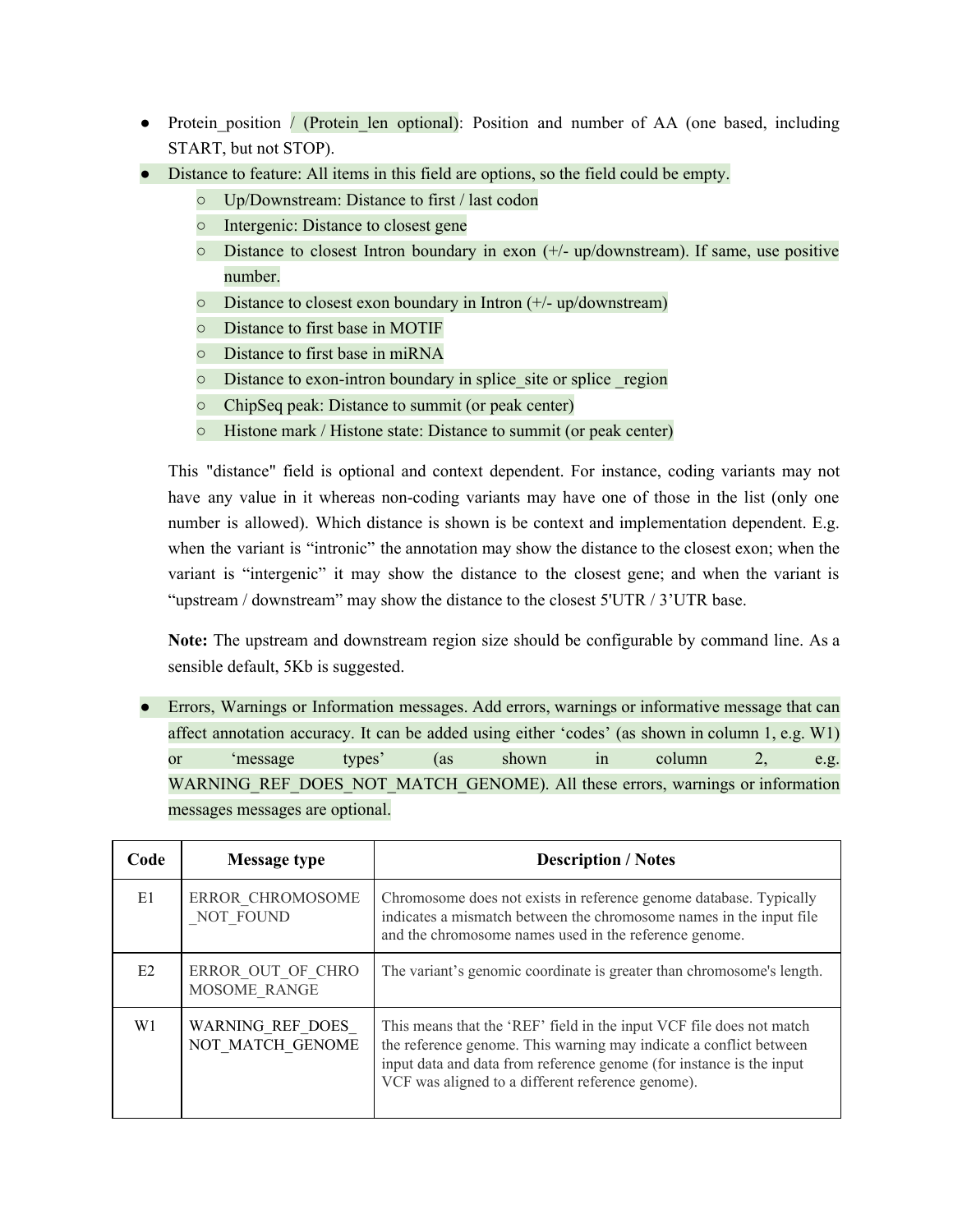- Protein position / (Protein len optional): Position and number of AA (one based, including START, but not STOP).
- Distance to feature: All items in this field are options, so the field could be empty.
	- Up/Downstream: Distance to first / last codon
	- Intergenic: Distance to closest gene
	- $\circ$  Distance to closest Intron boundary in exon ( $+/-$  up/downstream). If same, use positive number.
	- Distance to closest exon boundary in Intron (+/- up/downstream)
	- Distance to first base in MOTIF
	- Distance to first base in miRNA
	- Distance to exon-intron boundary in splice\_site or splice \_region
	- ChipSeq peak: Distance to summit (or peak center)
	- Histone mark / Histone state: Distance to summit (or peak center)

This "distance" field is optional and context dependent. For instance, coding variants may not have any value in it whereas non-coding variants may have one of those in the list (only one number is allowed). Which distance is shown is be context and implementation dependent. E.g. when the variant is "intronic" the annotation may show the distance to the closest exon; when the variant is "intergenic" it may show the distance to the closest gene; and when the variant is "upstream / downstream" may show the distance to the closest 5'UTR / 3'UTR base.

**Note:** The upstream and downstream region size should be configurable by command line. As a sensible default, 5Kb is suggested.

• Errors, Warnings or Information messages. Add errors, warnings or informative message that can affect annotation accuracy. It can be added using either 'codes' (as shown in column 1, e.g. W1) or 'message types' (as shown in column 2, e.g. WARNING REF\_DOES\_NOT\_MATCH\_GENOME). All these errors, warnings or information messages messages are optional.

| Code | <b>Message type</b>                  | <b>Description / Notes</b>                                                                                                                                                                                                                                              |
|------|--------------------------------------|-------------------------------------------------------------------------------------------------------------------------------------------------------------------------------------------------------------------------------------------------------------------------|
| E1   | ERROR CHROMOSOME<br>NOT FOUND        | Chromosome does not exists in reference genome database. Typically<br>indicates a mismatch between the chromosome names in the input file<br>and the chromosome names used in the reference genome.                                                                     |
| E2   | ERROR OUT OF CHRO<br>MOSOME RANGE    | The variant's genomic coordinate is greater than chromosome's length.                                                                                                                                                                                                   |
| W1   | WARNING REF DOES<br>NOT MATCH GENOME | This means that the 'REF' field in the input VCF file does not match<br>the reference genome. This warning may indicate a conflict between<br>input data and data from reference genome (for instance is the input<br>VCF was aligned to a different reference genome). |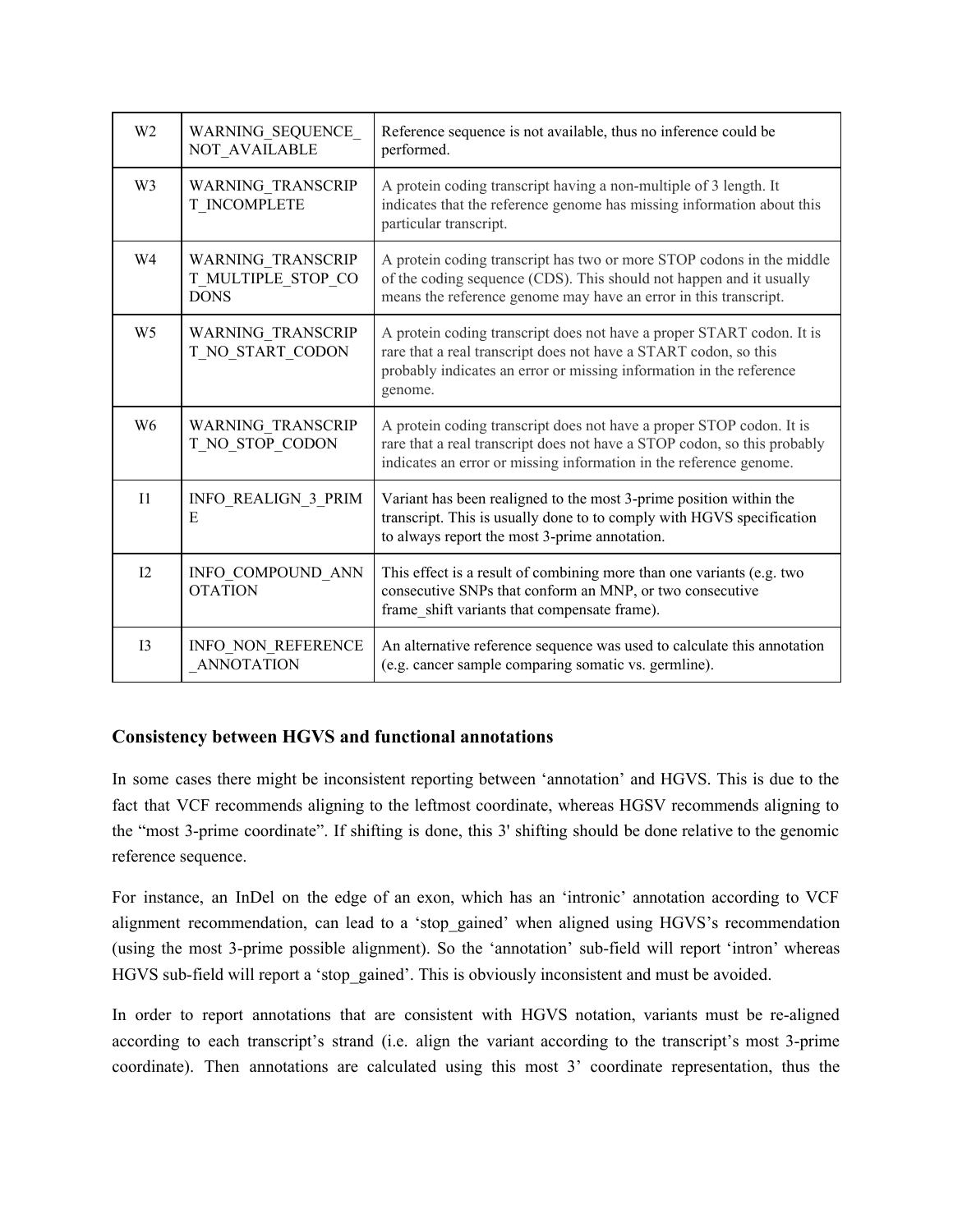| W <sub>2</sub> | WARNING_SEQUENCE_<br>NOT_AVAILABLE                     | Reference sequence is not available, thus no inference could be<br>performed.                                                                                                                                               |
|----------------|--------------------------------------------------------|-----------------------------------------------------------------------------------------------------------------------------------------------------------------------------------------------------------------------------|
| W <sub>3</sub> | WARNING_TRANSCRIP<br>T INCOMPLETE                      | A protein coding transcript having a non-multiple of 3 length. It<br>indicates that the reference genome has missing information about this<br>particular transcript.                                                       |
| W4             | WARNING TRANSCRIP<br>T_MULTIPLE_STOP_CO<br><b>DONS</b> | A protein coding transcript has two or more STOP codons in the middle<br>of the coding sequence (CDS). This should not happen and it usually<br>means the reference genome may have an error in this transcript.            |
| W <sub>5</sub> | WARNING_TRANSCRIP<br>T NO START CODON                  | A protein coding transcript does not have a proper START codon. It is<br>rare that a real transcript does not have a START codon, so this<br>probably indicates an error or missing information in the reference<br>genome. |
| W <sub>6</sub> | WARNING TRANSCRIP<br>T_NO_STOP_CODON                   | A protein coding transcript does not have a proper STOP codon. It is<br>rare that a real transcript does not have a STOP codon, so this probably<br>indicates an error or missing information in the reference genome.      |
| $_{\text{II}}$ | <b>INFO REALIGN 3 PRIM</b><br>E                        | Variant has been realigned to the most 3-prime position within the<br>transcript. This is usually done to to comply with HGVS specification<br>to always report the most 3-prime annotation.                                |
| 12             | INFO_COMPOUND_ANN<br><b>OTATION</b>                    | This effect is a result of combining more than one variants (e.g. two<br>consecutive SNPs that conform an MNP, or two consecutive<br>frame_shift variants that compensate frame).                                           |
| 13             | INFO_NON_REFERENCE<br><b>ANNOTATION</b>                | An alternative reference sequence was used to calculate this annotation<br>(e.g. cancer sample comparing somatic vs. germline).                                                                                             |

#### **Consistency between HGVS and functional annotations**

In some cases there might be inconsistent reporting between 'annotation' and HGVS. This is due to the fact that VCF recommends aligning to the leftmost coordinate, whereas HGSV recommends aligning to the "most 3-prime coordinate". If shifting is done, this 3' shifting should be done relative to the genomic reference sequence.

For instance, an InDel on the edge of an exon, which has an 'intronic' annotation according to VCF alignment recommendation, can lead to a 'stop\_gained' when aligned using HGVS's recommendation (using the most 3-prime possible alignment). So the 'annotation' sub-field will report 'intron' whereas HGVS sub-field will report a 'stop\_gained'. This is obviously inconsistent and must be avoided.

In order to report annotations that are consistent with HGVS notation, variants must be re-aligned according to each transcript's strand (i.e. align the variant according to the transcript's most 3-prime coordinate). Then annotations are calculated using this most 3' coordinate representation, thus the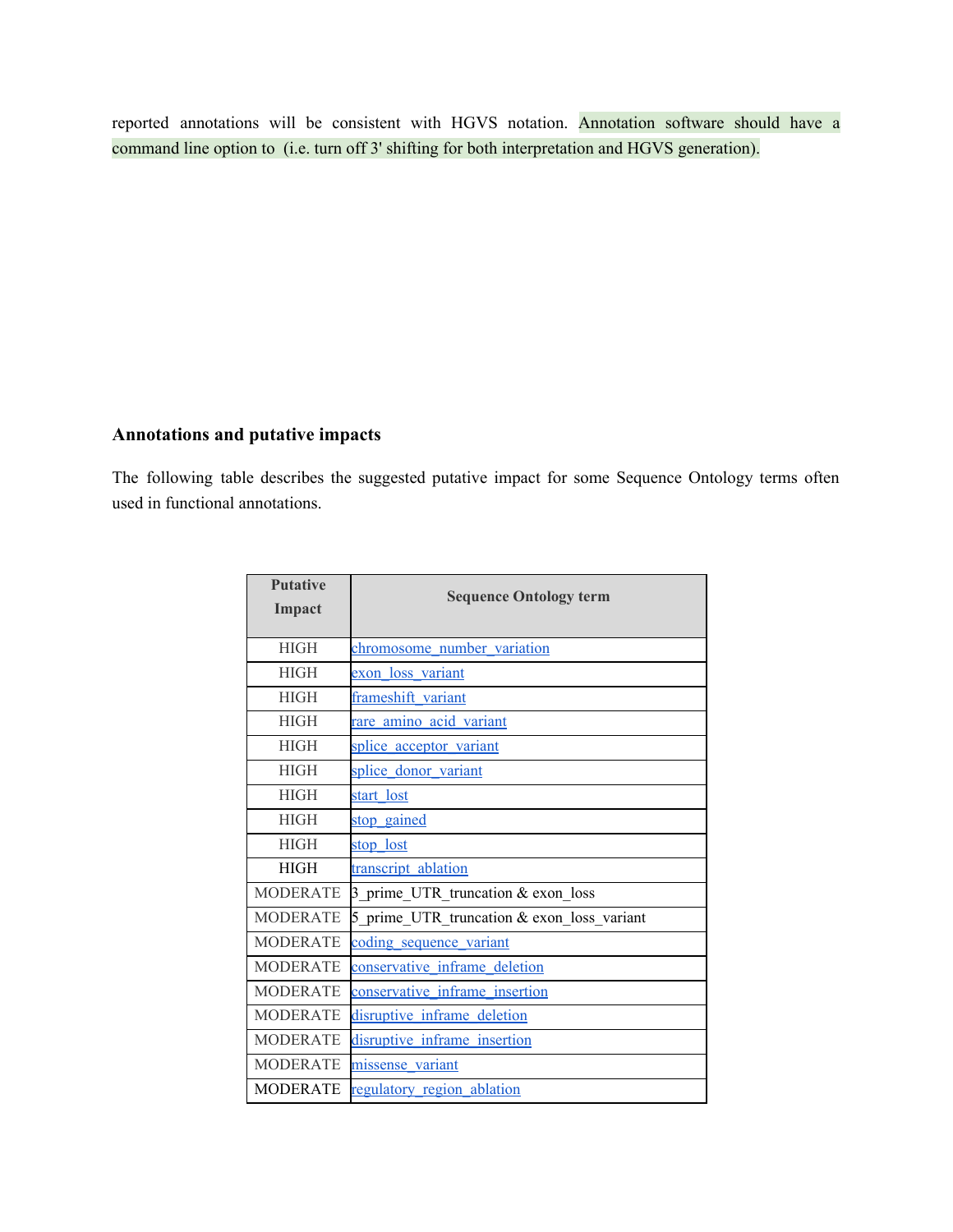reported annotations will be consistent with HGVS notation. Annotation software should have a command line option to (i.e. turn off 3' shifting for both interpretation and HGVS generation).

#### **Annotations and putative impacts**

The following table describes the suggested putative impact for some Sequence Ontology terms often used in functional annotations.

| <b>Putative</b> | <b>Sequence Ontology term</b>              |  |  |  |  |  |
|-----------------|--------------------------------------------|--|--|--|--|--|
| Impact          |                                            |  |  |  |  |  |
| <b>HIGH</b>     | chromosome number variation                |  |  |  |  |  |
| <b>HIGH</b>     | exon loss variant                          |  |  |  |  |  |
| <b>HIGH</b>     | frameshift variant                         |  |  |  |  |  |
| <b>HIGH</b>     | rare amino acid variant                    |  |  |  |  |  |
| <b>HIGH</b>     | splice acceptor variant                    |  |  |  |  |  |
| <b>HIGH</b>     | splice donor variant                       |  |  |  |  |  |
| <b>HIGH</b>     | start lost                                 |  |  |  |  |  |
| <b>HIGH</b>     | stop gained                                |  |  |  |  |  |
| <b>HIGH</b>     | stop lost                                  |  |  |  |  |  |
| <b>HIGH</b>     | transcript ablation                        |  |  |  |  |  |
| <b>MODERATE</b> | 3 prime UTR truncation & exon loss         |  |  |  |  |  |
| <b>MODERATE</b> | 5_prime_UTR_truncation & exon_loss_variant |  |  |  |  |  |
| <b>MODERATE</b> | coding sequence variant                    |  |  |  |  |  |
| <b>MODERATE</b> | conservative inframe deletion              |  |  |  |  |  |
| <b>MODERATE</b> | conservative inframe insertion             |  |  |  |  |  |
| <b>MODERATE</b> | disruptive inframe deletion                |  |  |  |  |  |
| <b>MODERATE</b> | disruptive inframe insertion               |  |  |  |  |  |
| <b>MODERATE</b> | missense variant                           |  |  |  |  |  |
| <b>MODERATE</b> | regulatory region ablation                 |  |  |  |  |  |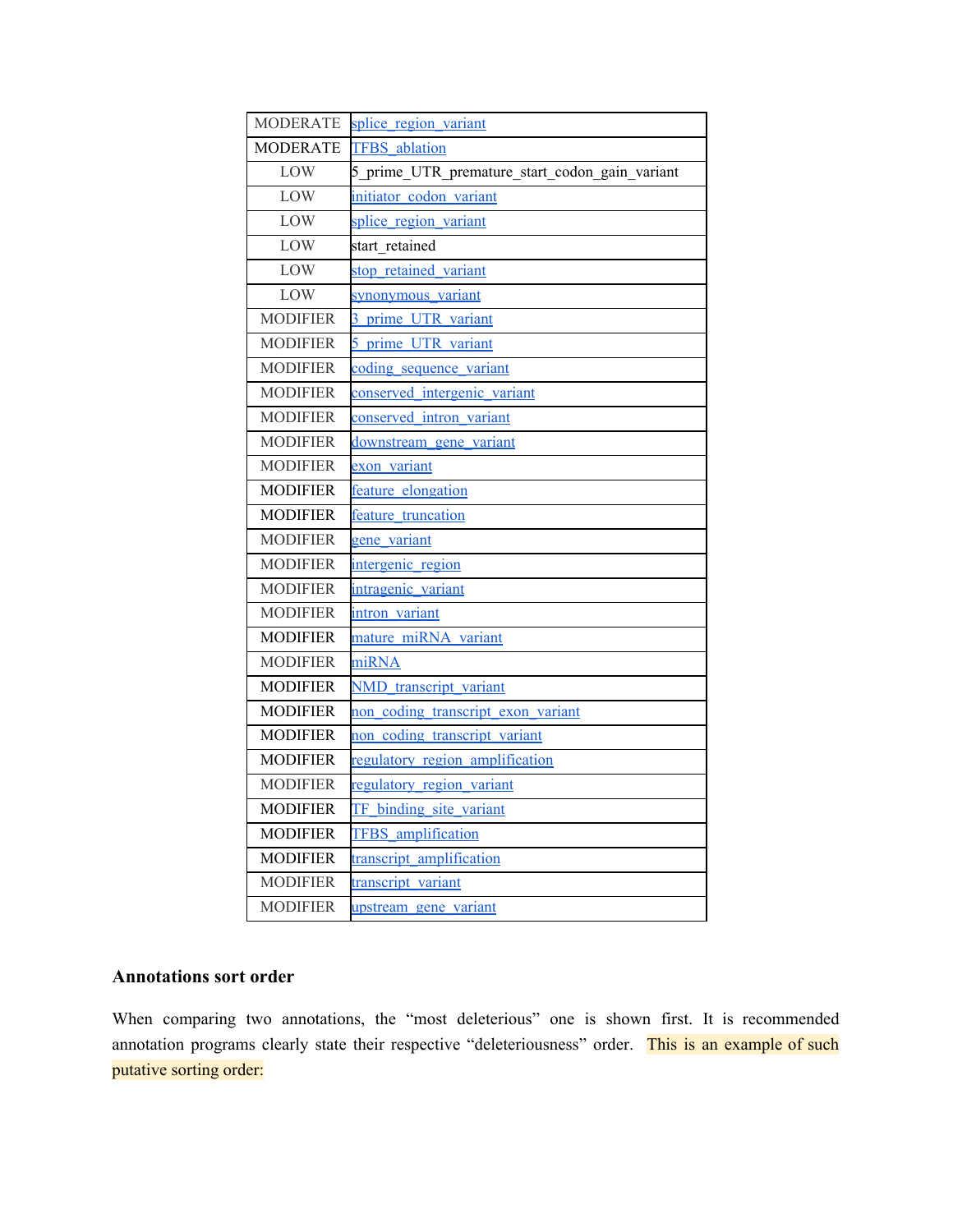| <b>MODERATE</b> | splice region variant                          |
|-----------------|------------------------------------------------|
| <b>MODERATE</b> | <b>TFBS</b> ablation                           |
| LOW             | 5_prime_UTR_premature_start_codon_gain_variant |
| LOW             | initiator codon variant                        |
| LOW             | splice region variant                          |
| LOW             | start retained                                 |
| LOW             | stop retained variant                          |
| LOW             | synonymous_variant                             |
| <b>MODIFIER</b> | 3 prime UTR variant                            |
| <b>MODIFIER</b> | 5 prime UTR variant                            |
| <b>MODIFIER</b> | coding sequence variant                        |
| <b>MODIFIER</b> | conserved intergenic variant                   |
| <b>MODIFIER</b> | conserved intron variant                       |
| <b>MODIFIER</b> | downstream gene variant                        |
| <b>MODIFIER</b> | exon variant                                   |
| <b>MODIFIER</b> | feature elongation                             |
| <b>MODIFIER</b> | feature truncation                             |
| <b>MODIFIER</b> | gene variant                                   |
| <b>MODIFIER</b> | intergenic region                              |
| <b>MODIFIER</b> | intragenic variant                             |
| <b>MODIFIER</b> | intron variant                                 |
| <b>MODIFIER</b> | mature miRNA variant                           |
| <b>MODIFIER</b> | miRNA                                          |
| <b>MODIFIER</b> | NMD transcript variant                         |
| <b>MODIFIER</b> | non coding transcript exon variant             |
| <b>MODIFIER</b> | non coding transcript variant                  |
| <b>MODIFIER</b> | regulatory region amplification                |
| <b>MODIFIER</b> | regulatory region variant                      |
| <b>MODIFIER</b> | TF binding site variant                        |
| <b>MODIFIER</b> | <b>TFBS</b> amplification                      |
| <b>MODIFIER</b> | transcript amplification                       |
| <b>MODIFIER</b> | transcript variant                             |
| <b>MODIFIER</b> | upstream gene variant                          |

### **Annotations sort order**

When comparing two annotations, the "most deleterious" one is shown first. It is recommended annotation programs clearly state their respective "deleteriousness" order. This is an example of such putative sorting order: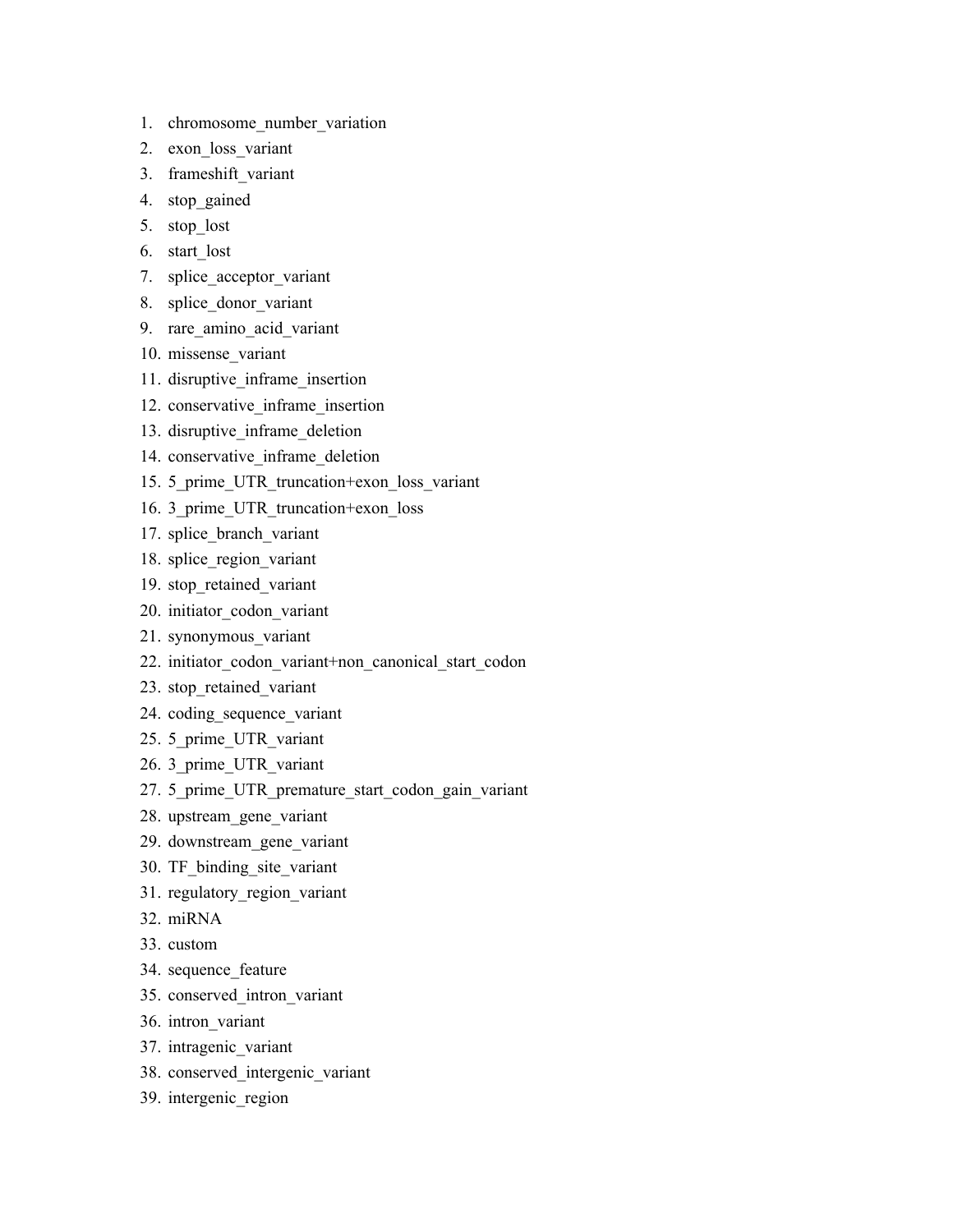- 1. chromosome\_number\_variation
- 2. exon\_loss\_variant
- 3. frameshift\_variant
- 4. stop\_gained
- 5. stop\_lost
- 6. start\_lost
- 7. splice acceptor variant
- 8. splice donor variant
- 9. rare\_amino\_acid\_variant
- 10. missense\_variant
- 11. disruptive inframe insertion
- 12. conservative inframe insertion
- 13. disruptive inframe deletion
- 14. conservative inframe deletion
- 15. 5\_prime\_UTR\_truncation+exon\_loss\_variant
- 16. 3\_prime\_UTR\_truncation+exon\_loss
- 17. splice branch variant
- 18. splice region variant
- 19. stop\_retained\_variant
- 20. initiator\_codon\_variant
- 21. synonymous\_variant
- 22. initiator\_codon\_variant+non\_canonical\_start\_codon
- 23. stop\_retained\_variant
- 24. coding\_sequence\_variant
- 25. 5\_prime\_UTR\_variant
- 26. 3\_prime\_UTR\_variant
- 27. 5 prime UTR premature start codon gain variant
- 28. upstream\_gene\_variant
- 29. downstream\_gene\_variant
- 30. TF\_binding\_site\_variant
- 31. regulatory\_region\_variant
- 32. miRNA
- 33. custom
- 34. sequence feature
- 35. conserved\_intron\_variant
- 36. intron\_variant
- 37. intragenic\_variant
- 38. conserved\_intergenic\_variant
- 39. intergenic\_region